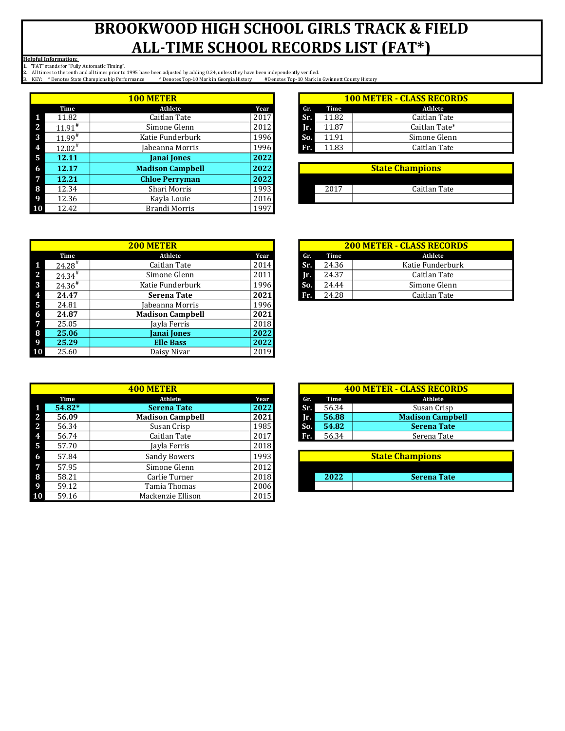Helpful Information:

1. "FAT" stands for "Fully Automatic Timing".

|   |                      | <b>100 METER</b>        |      |     |       | <b>100 METER - CLASS RECORI</b> |
|---|----------------------|-------------------------|------|-----|-------|---------------------------------|
|   | Time                 | Athlete                 | Year | Gr. | Time  |                                 |
|   | 11.82                | Caitlan Tate            | 2017 | Sr. | 11.82 |                                 |
|   | $11.91^*$            | Simone Glenn            | 2012 | Ir. | 11.87 |                                 |
| 3 | $11.99$ <sup>#</sup> | Katie Funderburk        | 1996 | So. | 11.91 |                                 |
|   | $12.02^{\#}$         | Jabeanna Morris         | 1996 | Fr. | 11.83 |                                 |
| 5 | 12.11                | <b>Janai Jones</b>      | 2022 |     |       |                                 |
| 6 | 12.17                | <b>Madison Campbell</b> | 2022 |     |       | <b>State Champions</b>          |
|   | 12.21                | <b>Chloe Perryman</b>   | 2022 |     |       |                                 |
| 8 | 12.34                | Shari Morris            | 1993 |     | 2017  |                                 |
|   | 12.36                | Kayla Louie             | 2016 |     |       |                                 |
|   | 12.42                | Brandi Morris           | 1997 |     |       |                                 |

| ) METER          |      |     | <b>100 METER - CLASS RECORDS</b> |               |  |  |  |
|------------------|------|-----|----------------------------------|---------------|--|--|--|
| Athlete          | Year | Gr. | Time                             | Athlete       |  |  |  |
| Caitlan Tate     | 2017 | Sr. | 11.82                            | Caitlan Tate  |  |  |  |
| Simone Glenn     | 2012 | IП. | 11.87                            | Caitlan Tate* |  |  |  |
| Katie Funderburk | 1996 | So. | 11.91                            | Simone Glenn  |  |  |  |
| Iabeanna Morris  | 1996 | Fr. | 11.83                            | Caitlan Tate  |  |  |  |
|                  |      |     |                                  |               |  |  |  |

| <b>State Champions</b> |              |  |  |  |  |  |
|------------------------|--------------|--|--|--|--|--|
|                        |              |  |  |  |  |  |
| 2017                   | Caitlan Tate |  |  |  |  |  |
|                        |              |  |  |  |  |  |

|                |                      | <b>200 METER</b>        |      |     |       | <b>200 METER - CLASS RECORDS</b> |
|----------------|----------------------|-------------------------|------|-----|-------|----------------------------------|
|                | Time                 | Athlete                 | Year | Gr. | Time  | Athlete                          |
| - 1            | $24.28$ <sup>#</sup> | Caitlan Tate            | 2014 | Sr. | 24.36 | Katie Funderburk                 |
| $\mathbf{2}$   | $24.34^{*}$          | Simone Glenn            | 2011 | Ir. | 24.37 | Caitlan Tate                     |
| $\mathbf{3}$   | $24.36^{\#}$         | Katie Funderburk        | 1996 | So. | 24.44 | Simone Glenn                     |
| $\overline{4}$ | 24.47                | <b>Serena Tate</b>      | 2021 | Fr. | 24.28 | Caitlan Tate                     |
| - 5            | 24.81                | Iabeanna Morris         | 1996 |     |       |                                  |
| -6             | 24.87                | <b>Madison Campbell</b> | 2021 |     |       |                                  |
| $\overline{7}$ | 25.05                | Jayla Ferris            | 2018 |     |       |                                  |
| 8              | 25.06                | <b>Janai Jones</b>      | 2022 |     |       |                                  |
| - 9            | 25.29                | <b>Elle Bass</b>        | 2022 |     |       |                                  |
| 10             | 25.60                | Daisy Nivar             | 2019 |     |       |                                  |

|    |          |                         |      |     | <b>400 METER - CLASS RECORDS</b> |                         |
|----|----------|-------------------------|------|-----|----------------------------------|-------------------------|
|    | Time     | Athlete                 | Year | Gr. | Time                             | Athlete                 |
|    | $54.82*$ | <b>Serena Tate</b>      | 2022 | Sr. | 56.34                            | Susan Crisp             |
| z. | 56.09    | <b>Madison Campbell</b> | 2021 | Ir. | 56.88                            | <b>Madison Campbell</b> |
|    | 56.34    | Susan Crisp             | 1985 | So. | 54.82                            | <b>Serena Tate</b>      |
|    | 56.74    | Caitlan Tate            | 2017 | Fr. | 56.34                            | Serena Tate             |
| 5  | 57.70    | Jayla Ferris            | 2018 |     |                                  |                         |
| 6  | 57.84    | Sandy Bowers            | 1993 |     |                                  | <b>State Champions</b>  |
|    | 57.95    | Simone Glenn            | 2012 |     |                                  |                         |
| 8  | 58.21    | Carlie Turner           | 2018 |     | 2022                             | <b>Serena Tate</b>      |
| 9  | 59.12    | Tamia Thomas            | 2006 |     |                                  |                         |
|    | 59.16    | Mackenzie Ellison       | 2015 |     |                                  |                         |

| <b>200 METER - CLASS RECORDS</b> |                 |                  |  |  |  |  |  |  |
|----------------------------------|-----------------|------------------|--|--|--|--|--|--|
| Gr.                              | Time<br>Athlete |                  |  |  |  |  |  |  |
| Sr.                              | 24.36           | Katie Funderburk |  |  |  |  |  |  |
| Ir.                              | 24.37           | Caitlan Tate     |  |  |  |  |  |  |
| So.                              | 24.44           | Simone Glenn     |  |  |  |  |  |  |
| Fr.                              | 24.28           | Caitlan Tate     |  |  |  |  |  |  |

| <b>400 METER</b>        |       | <b>400 METER - CLASS RECORDS</b> |       |                         |  |  |
|-------------------------|-------|----------------------------------|-------|-------------------------|--|--|
| Athlete                 | Year  | Gr.                              | Time  | Athlete                 |  |  |
| <b>Serena Tate</b>      | 2022  | Sr.                              | 56.34 | Susan Crisp             |  |  |
| <b>Madison Campbell</b> | 2021  | Jr.                              | 56.88 | <b>Madison Campbell</b> |  |  |
| Susan Crisp             | 1985  | So.                              | 54.82 | <b>Serena Tate</b>      |  |  |
| Caitlan Tate            | 2017  | Fr.                              | 56.34 | Serena Tate             |  |  |
| .                       | 0.010 |                                  |       |                         |  |  |

| <b>State Champions</b> |                    |  |  |  |  |  |
|------------------------|--------------------|--|--|--|--|--|
|                        |                    |  |  |  |  |  |
| 2022                   | <b>Serena Tate</b> |  |  |  |  |  |
|                        |                    |  |  |  |  |  |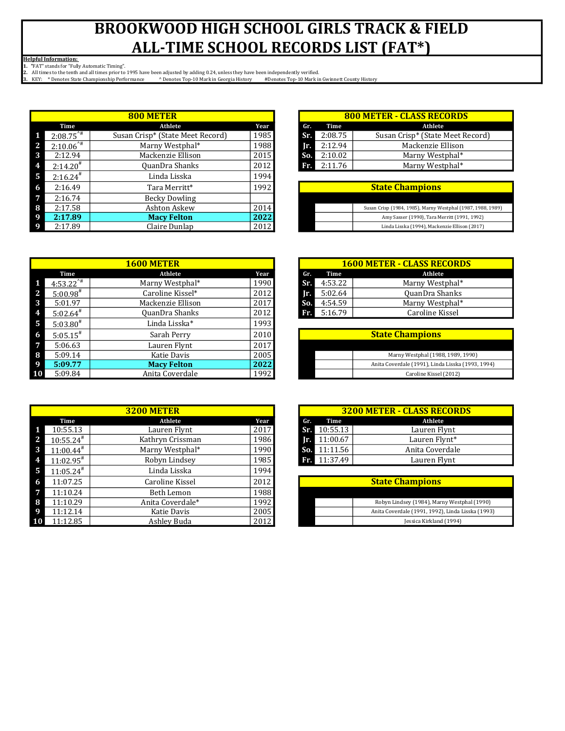Helpful Information:

1. "FAT" stands for "Fully Automatic Timing".

|              |                         |                                  |      | <b>800 METER - CLASS RECORDS</b> |         |                                                             |
|--------------|-------------------------|----------------------------------|------|----------------------------------|---------|-------------------------------------------------------------|
|              | Time                    | Athlete                          | Year | Gr.                              | Time    | Athlete                                                     |
|              | $2:08.75$ <sup>**</sup> | Susan Crisp* (State Meet Record) | 1985 | Sr.                              | 2:08.75 | Susan Crisp* (State Meet Record)                            |
| $\mathbf{z}$ | $2:10.06$ <sup>*#</sup> | Marny Westphal*                  | 1988 | Ir.                              | 2:12.94 | Mackenzie Ellison                                           |
| 3            | 2:12.94                 | Mackenzie Ellison                | 2015 | So.                              | 2:10.02 | Marny Westphal*                                             |
| 4            | $2:14.20^{*}$           | QuanDra Shanks                   | 2012 | Fr.                              | 2:11.76 | Marny Westphal*                                             |
| -5           | $2:16.24$ <sup>#</sup>  | Linda Lisska                     | 1994 |                                  |         |                                                             |
| -6           | 2:16.49                 | Tara Merritt*                    | 1992 |                                  |         | <b>State Champions</b>                                      |
| -7           | 2:16.74                 | <b>Becky Dowling</b>             |      |                                  |         |                                                             |
| -8           | 2:17.58                 | Ashton Askew                     | 2014 |                                  |         | Susan Crisp (1984, 1985), Marny Westphal (1987, 1988, 1989) |
| -9           | 2:17.89                 | <b>Macy Felton</b>               | 2022 |                                  |         | Amy Sasser (1990), Tara Merritt (1991, 1992)                |
| - 9          | 2:17.89                 | Claire Dunlap                    | 2012 |                                  |         | Linda Lisska (1994), Mackenzie Ellison (2017)               |

|                         | <b>1600 METER</b>  |      |     |         | <b>1600 METER - CLASS RECORDS</b>                 |
|-------------------------|--------------------|------|-----|---------|---------------------------------------------------|
| Time                    | Athlete            | Year | Gr. | Time    | Athlete                                           |
| $4:53.22$ <sup>**</sup> | Marny Westphal*    | 1990 | Sr. | 4:53.22 | Marny Westphal*                                   |
| $5:00.98^{\#}$          | Caroline Kissel*   | 2012 | Ir. | 5:02.64 | QuanDra Shanks                                    |
| 5:01.97                 | Mackenzie Ellison  | 2017 | So. | 4:54.59 | Marny Westphal*                                   |
| $5:02.64$ <sup>#</sup>  | QuanDra Shanks     | 2012 | Fr. | 5:16.79 | Caroline Kissel                                   |
| $5:03.80^{#}$           | Linda Lisska*      | 1993 |     |         |                                                   |
| $5:05.15^{*}$           | Sarah Perry        | 2010 |     |         | <b>State Champions</b>                            |
| 5:06.63                 | Lauren Flynt       | 2017 |     |         |                                                   |
| 5:09.14                 | Katie Davis        | 2005 |     |         | Marny Westphal (1988, 1989, 1990)                 |
| 5:09.77                 | <b>Macy Felton</b> | 2022 |     |         | Anita Coverdale (1991), Linda Lisska (1993, 1994) |
| 5:09.84                 | Anita Coverdale    | 1992 |     |         | Caroline Kissel (2012)                            |

|                         | <b>3200 METER</b> |      |
|-------------------------|-------------------|------|
| Time                    | Athlete           | Year |
| 10:55.13                | Lauren Flynt      | 2017 |
| $10:55.24$ <sup>#</sup> | Kathryn Crissman  | 1986 |
| $11:00.44$ <sup>#</sup> | Marny Westphal*   | 1990 |
| $11:02.95^{\text{*}}$   | Robyn Lindsey     | 1985 |
| $11:05.24$ <sup>#</sup> | Linda Lisska      | 1994 |
| 11:07.25                | Caroline Kissel   | 2012 |
| 11:10.24                | Beth Lemon        | 1988 |
| 11:10.29                | Anita Coverdale*  | 1992 |
| 11:12.14                | Katie Davis       | 2005 |
| 11:12.85                | Ashley Buda       | 2012 |

| 800 METER                    |      |     | <b>800 METER - CLASS RECORDS</b> |                                  |  |  |
|------------------------------|------|-----|----------------------------------|----------------------------------|--|--|
| Athlete                      | Year | Gr. | Time                             | Athlete                          |  |  |
| n Crisp* (State Meet Record) | 1985 | Sr. | 2:08.75                          | Susan Crisp* (State Meet Record) |  |  |
| Marny Westphal*              | 1988 | Ir. | 2:12.94                          | Mackenzie Ellison                |  |  |
| Mackenzie Ellison            | 2015 | So. | 2:10.02                          | Marny Westphal*                  |  |  |
| QuanDra Shanks               | 2012 | Fr. | 2:11.76                          | Marny Westphal*                  |  |  |

| <b>State Champions</b> |                                                             |  |  |  |  |  |
|------------------------|-------------------------------------------------------------|--|--|--|--|--|
|                        |                                                             |  |  |  |  |  |
|                        | Susan Crisp (1984, 1985), Marny Westphal (1987, 1988, 1989) |  |  |  |  |  |
|                        | Amy Sasser (1990), Tara Merritt (1991, 1992)                |  |  |  |  |  |
|                        | Linda Lisska (1994), Mackenzie Ellison (2017)               |  |  |  |  |  |

|     | <b>1600 METER - CLASS RECORDS</b> |                 |  |  |  |  |  |  |  |
|-----|-----------------------------------|-----------------|--|--|--|--|--|--|--|
| Gr. | Time                              | Athlete         |  |  |  |  |  |  |  |
| Sr. | 4:53.22                           | Marny Westphal* |  |  |  |  |  |  |  |
| Ir. | 5:02.64                           | QuanDra Shanks  |  |  |  |  |  |  |  |
| So. | 4:54.59                           | Marny Westphal* |  |  |  |  |  |  |  |
| Rw. | 5:16.79                           | Caroline Kissel |  |  |  |  |  |  |  |

| <b>State Champions</b> |                                                   |  |  |  |  |
|------------------------|---------------------------------------------------|--|--|--|--|
|                        |                                                   |  |  |  |  |
|                        | Marny Westphal (1988, 1989, 1990)                 |  |  |  |  |
|                        | Anita Coverdale (1991), Linda Lisska (1993, 1994) |  |  |  |  |
|                        | Caroline Kissel (2012)                            |  |  |  |  |

| <b>3200 METER - CLASS RECORDS</b> |                       |                 |  |  |  |  |  |  |
|-----------------------------------|-----------------------|-----------------|--|--|--|--|--|--|
|                                   | Gr. Time              | Athlete         |  |  |  |  |  |  |
|                                   | Sr. 10:55.13          | Lauren Flynt    |  |  |  |  |  |  |
|                                   | $\mathbf{r}$ 11:00.67 | Lauren Flynt*   |  |  |  |  |  |  |
|                                   | So. $11:11.56$        | Anita Coverdale |  |  |  |  |  |  |
|                                   | $T_1$ 11:37.49        | Lauren Flynt    |  |  |  |  |  |  |

| <b>State Champions</b> |  |                                                   |  |  |  |
|------------------------|--|---------------------------------------------------|--|--|--|
|                        |  |                                                   |  |  |  |
|                        |  | Robyn Lindsey (1984), Marny Westphal (1990)       |  |  |  |
|                        |  | Anita Coverdale (1991, 1992), Linda Lisska (1993) |  |  |  |
|                        |  | Jessica Kirkland (1994)                           |  |  |  |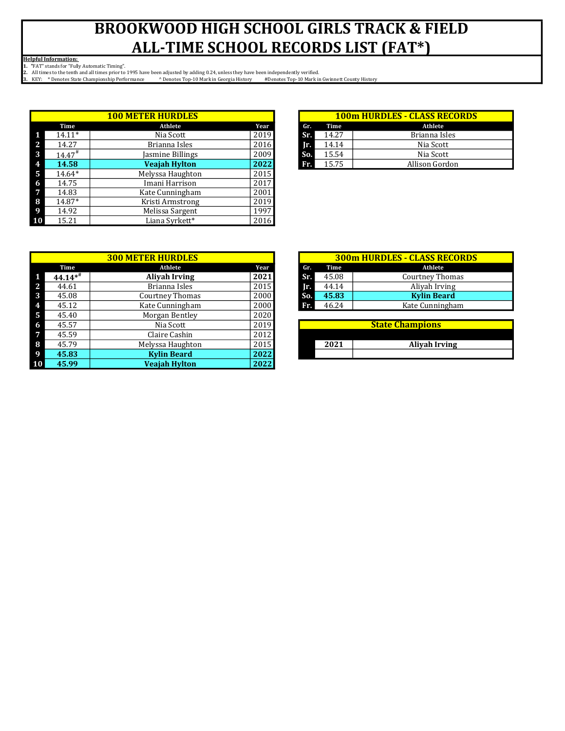Helpful Information:

1. "FAT" stands for "Fully Automatic Timing".

|              |                    | <b>100 METER HURDLES</b> |      |     |       | <b>100m HURDLES - CLASS RECO</b> |
|--------------|--------------------|--------------------------|------|-----|-------|----------------------------------|
|              | Time               | Athlete                  | Year | Gr. | Time  | Athlete                          |
|              | $14.11*$           | Nia Scott                | 2019 | Sr. | 14.27 | Brianna Isles                    |
| $\mathbf{2}$ | 14.27              | Brianna Isles            | 2016 | Ir. | 14.14 | Nia Scott                        |
| 3            | 14.47 <sup>#</sup> | Jasmine Billings         | 2009 | So. | 15.54 | Nia Scott                        |
| 4            | 14.58              | <b>Veajah Hylton</b>     | 2022 | Fr. | 15.75 | Allison Gordon                   |
| 5            | 14.64*             | Melyssa Haughton         | 2015 |     |       |                                  |
| 6            | 14.75              | Imani Harrison           | 2017 |     |       |                                  |
| 7            | 14.83              | Kate Cunningham          | 2001 |     |       |                                  |
| 8            | 14.87*             | Kristi Armstrong         | 2019 |     |       |                                  |
| 9            | 14.92              | Melissa Sargent          | 1997 |     |       |                                  |
| 10           | 15.21              | Liana Syrkett*           | 2016 |     |       |                                  |

|   | <b>300 METER HURDLES</b> |                        |      |  |     |       | <b>300m HURDLES - CLASS RECOR</b> |
|---|--------------------------|------------------------|------|--|-----|-------|-----------------------------------|
|   | Time                     | Athlete                | Year |  | Gr. | Time  | Athlete                           |
|   | $44.14**$                | <b>Alivah Irving</b>   | 2021 |  | Sr. | 45.08 | <b>Courtney Thomas</b>            |
| 2 | 44.61                    | Brianna Isles          | 2015 |  | Ir. | 44.14 | Aliyah Irving                     |
| 3 | 45.08                    | <b>Courtney Thomas</b> | 2000 |  | So. | 45.83 | <b>Kylin Beard</b>                |
|   | 45.12                    | Kate Cunningham        | 2000 |  | Fr. | 46.24 | Kate Cunningham                   |
| 5 | 45.40                    | Morgan Bentley         | 2020 |  |     |       |                                   |
| 6 | 45.57                    | Nia Scott              | 2019 |  |     |       | <b>State Champions</b>            |
|   | 45.59                    | Claire Cashin          | 2012 |  |     |       |                                   |
| 8 | 45.79                    | Melyssa Haughton       | 2015 |  |     | 2021  | <b>Alivah Irving</b>              |
|   | 45.83                    | <b>Kylin Beard</b>     | 2022 |  |     |       |                                   |
|   | 45.99                    | <b>Veajah Hylton</b>   | 2022 |  |     |       |                                   |

| <b>ER HURDLES</b>    |      |     | <b>100m HURDLES - CLASS RECORDS</b> |                |  |  |  |  |
|----------------------|------|-----|-------------------------------------|----------------|--|--|--|--|
| Athlete              | Year | Gr. | Time                                | <b>Athlete</b> |  |  |  |  |
| Nia Scott            | 2019 | Sr. | 14.27                               | Brianna Isles  |  |  |  |  |
| Brianna Isles        | 2016 | IΠ. | 14.14                               | Nia Scott      |  |  |  |  |
| Jasmine Billings     | 2009 | So. | 15.54                               | Nia Scott      |  |  |  |  |
| <b>Veajah Hylton</b> | 2022 | Fr. | 15.75                               | Allison Gordon |  |  |  |  |

|            | <b>300m HURDLES - CLASS RECORDS</b> |                        |  |  |  |  |  |  |  |
|------------|-------------------------------------|------------------------|--|--|--|--|--|--|--|
| Gr.        | Time                                | Athlete                |  |  |  |  |  |  |  |
| <b>STT</b> | 45.08                               | <b>Courtney Thomas</b> |  |  |  |  |  |  |  |
| Ir.        | 44.14                               | Aliyah Irving          |  |  |  |  |  |  |  |
| So.        | 45.83                               | <b>Kylin Beard</b>     |  |  |  |  |  |  |  |
| Fr.        | 46.24                               | Kate Cunningham        |  |  |  |  |  |  |  |

| <b>State Champions</b> |                      |  |  |  |  |  |
|------------------------|----------------------|--|--|--|--|--|
|                        |                      |  |  |  |  |  |
| 2021                   | <b>Alivah Irving</b> |  |  |  |  |  |
|                        |                      |  |  |  |  |  |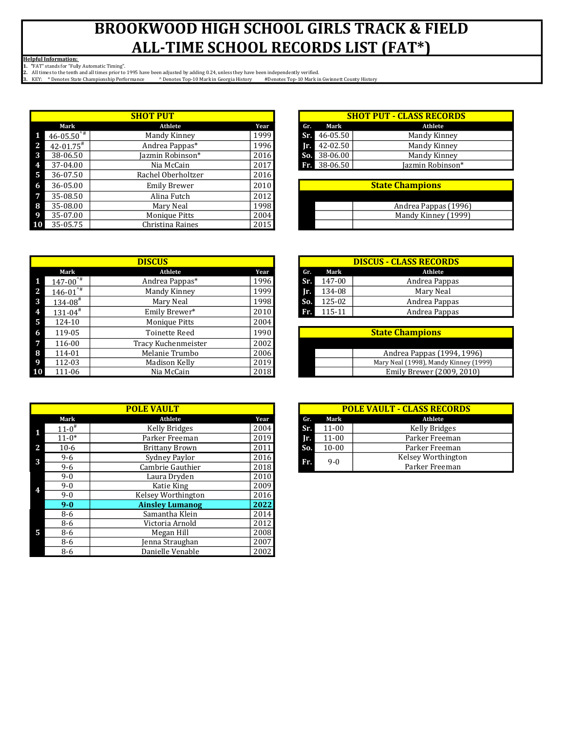Helpful Information:

1. "FAT" stands for "Fully Automatic Timing".

|     |                           | <b>SHOT PUT</b>      |      |       |            | <b>SHOT PUT - CLASS RECORDS</b> |
|-----|---------------------------|----------------------|------|-------|------------|---------------------------------|
|     | Mark                      | Athlete              | Year | Gr.   | Mark       | Athlete                         |
|     | $46 - 05.50^{4}$          | Mandy Kinney         | 1999 | Sr.   | 46-05.50   | Mandy Kinney                    |
| -2  | $42 - 01.75$ <sup>#</sup> | Andrea Pappas*       | 1996 | Ir. I | 42-02.50   | Mandy Kinney                    |
| 3   | 38-06.50                  | Jazmin Robinson*     | 2016 | So.   | 38-06.00   | Mandy Kinney                    |
| 4   | 37-04.00                  | Nia McCain           | 2017 |       | $38-06.50$ | Jazmin Robinson*                |
| - 5 | 36-07.50                  | Rachel Oberholtzer   | 2016 |       |            |                                 |
| -6  | 36-05.00                  | <b>Emily Brewer</b>  | 2010 |       |            | <b>State Champions</b>          |
| 7   | 35-08.50                  | Alina Futch          | 2012 |       |            |                                 |
| -8  | 35-08.00                  | Mary Neal            | 1998 |       |            | Andrea Pappas (1996)            |
| -9  | 35-07.00                  | <b>Monique Pitts</b> | 2004 |       |            | Mandy Kinney (1999)             |
| 10  | 35-05.75                  | Christina Raines     | 2015 |       |            |                                 |

| <b>SHOT PUT</b>  |      | <b>SHOT PUT - CLASS RECORDS</b> |          |                  |  |  |
|------------------|------|---------------------------------|----------|------------------|--|--|
| <b>Athlete</b>   | Year | Gr.                             | Mark     | Athlete          |  |  |
| Mandy Kinney     | 1999 | Sr.                             | 46-05.50 | Mandy Kinney     |  |  |
| Andrea Pappas*   | 1996 | Ir.                             | 42-02.50 | Mandy Kinney     |  |  |
| Jazmin Robinson* | 2016 | So.                             | 38-06.00 | Mandy Kinney     |  |  |
| Nia McCain       | 2017 | Fr.                             | 38-06.50 | Jazmin Robinson* |  |  |

| <b>State Champions</b> |  |  |  |
|------------------------|--|--|--|
|                        |  |  |  |
| Andrea Pappas (1996)   |  |  |  |
| Mandy Kinney (1999)    |  |  |  |
|                        |  |  |  |

|                         | <b>DISCUS</b>        |      |
|-------------------------|----------------------|------|
| Mark                    | Athlete              | Year |
| $147 - 00^{4}$          | Andrea Pappas*       | 1996 |
| $146 - 01^{4}$          | Mandy Kinney         | 1999 |
| $134 - 08$ <sup>#</sup> | Mary Neal            | 1998 |
| $131 - 04$ <sup>#</sup> | Emily Brewer*        | 2010 |
| 124-10                  | Monique Pitts        | 2004 |
| 119-05                  | <b>Toinette Reed</b> | 1990 |
| 116-00                  | Tracy Kuchenmeister  | 2002 |
| 114-01                  | Melanie Trumbo       | 2006 |
| 112-03                  | Madison Kelly        | 2019 |
| 111-06                  | Nia McCain           | 2018 |

|                     | <b>POLE VAULT</b>      |      |     |           | <b>POLE VAULT - CLASS RECORI</b> |
|---------------------|------------------------|------|-----|-----------|----------------------------------|
| Mark                | Athlete                | Year | Gr. | Mark      | Athlete                          |
| $11-0$ <sup>#</sup> | Kelly Bridges          | 2004 | Sr. | $11 - 00$ | Kelly Bridges                    |
| $11-0*$             | Parker Freeman         | 2019 | Ir. | $11 - 00$ | Parker Freeman                   |
| $10-6$              | <b>Brittany Brown</b>  | 2011 | So. | $10 - 00$ | Parker Freeman                   |
| $9 - 6$             | Sydney Paylor          | 2016 | Fr. | $9-0$     | <b>Kelsey Worthingto</b>         |
| $9 - 6$             | Cambrie Gauthier       | 2018 |     |           | Parker Freeman                   |
| $9-0$               | Laura Dryden           | 2010 |     |           |                                  |
| $9-0$               | Katie King             | 2009 |     |           |                                  |
| $9-0$               | Kelsey Worthington     | 2016 |     |           |                                  |
| $9 - 0$             | <b>Ainsley Lumanog</b> | 2022 |     |           |                                  |
| $8-6$               | Samantha Klein         | 2014 |     |           |                                  |
| $8-6$               | Victoria Arnold        | 2012 |     |           |                                  |
| $8-6$               | Megan Hill             | 2008 |     |           |                                  |
| $8-6$               | Jenna Straughan        | 2007 |     |           |                                  |
| 8-6                 | Danielle Venable       | 2002 |     |           |                                  |

|     | <b>DISCUS - CLASS RECORDS</b> |               |  |  |  |  |
|-----|-------------------------------|---------------|--|--|--|--|
| Gr. | Mark                          | Athlete       |  |  |  |  |
| Sr. | 147-00                        | Andrea Pappas |  |  |  |  |
| Ir. | 134-08                        | Mary Neal     |  |  |  |  |
| So. | 125-02                        | Andrea Pappas |  |  |  |  |
| Fr. | 115-11                        | Andrea Pappas |  |  |  |  |

| <b>State Champions</b> |                                       |  |  |
|------------------------|---------------------------------------|--|--|
|                        |                                       |  |  |
|                        | Andrea Pappas (1994, 1996)            |  |  |
|                        | Mary Neal (1998), Mandy Kinney (1999) |  |  |
|                        | Emily Brewer (2009, 2010)             |  |  |

| <b>POLE VAULT - CLASS RECORDS</b> |           |                      |  |  |  |  |
|-----------------------------------|-----------|----------------------|--|--|--|--|
| Gr.                               | Mark      | Athlete              |  |  |  |  |
| Sr.                               | $11 - 00$ | <b>Kelly Bridges</b> |  |  |  |  |
| Ir.                               | $11 - 00$ | Parker Freeman       |  |  |  |  |
| So.                               | $10 - 00$ | Parker Freeman       |  |  |  |  |
|                                   | 9-0       | Kelsey Worthington   |  |  |  |  |
|                                   |           | Parker Freeman       |  |  |  |  |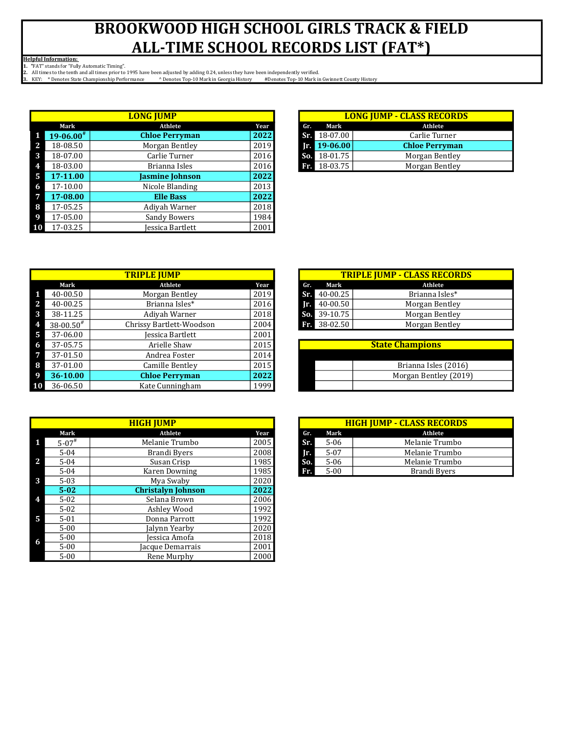Helpful Information:

1. "FAT" stands for "Fully Automatic Timing".

|              |              | <b>LONG JUMP</b>       |      |
|--------------|--------------|------------------------|------|
|              | Mark         | Athlete                | Year |
|              | $19-06.00^*$ | <b>Chloe Perryman</b>  | 2022 |
| $\mathbf{2}$ | 18-08.50     | Morgan Bentley         | 2019 |
| 3            | 18-07.00     | Carlie Turner          | 2016 |
| 4            | 18-03.00     | Brianna Isles          | 2016 |
| -5           | 17-11.00     | <b>Jasmine Johnson</b> | 2022 |
| -6           | 17-10.00     | Nicole Blanding        | 2013 |
|              | 17-08.00     | <b>Elle Bass</b>       | 2022 |
| -8           | 17-05.25     | Adiyah Warner          | 2018 |
| - 9          | 17-05.00     | <b>Sandy Bowers</b>    | 1984 |
| $\vert$ 10   | 17-03.25     | Jessica Bartlett       | 2001 |

| <b>LONG JUMP - CLASS RECORDS</b> |                       |  |  |  |  |
|----------------------------------|-----------------------|--|--|--|--|
| Gr. Mark                         | Athlete               |  |  |  |  |
| Sr. 18-07.00                     | Carlie Turner         |  |  |  |  |
| $\sqrt{r}$ 19-06.00              | <b>Chloe Perryman</b> |  |  |  |  |
| So. 18-01.75                     | Morgan Bentley        |  |  |  |  |
| <b>Br</b> 18-03.75               | Morgan Bentley        |  |  |  |  |

| <b>TRIPLE JUMP</b> |                          |      |     |          | <b>TRIPLE JUMP - CLASS RECORDS</b> |
|--------------------|--------------------------|------|-----|----------|------------------------------------|
| Mark               | <b>Athlete</b>           | Year | Gr. | Mark     |                                    |
| 40-00.50           | Morgan Bentley           | 2019 | Sr. | 40-00.25 |                                    |
| 40-00.25           | Brianna Isles*           | 2016 | ТP. | 40-00.50 |                                    |
| 38-11.25           | Adivah Warner            | 2018 | So. | 39-10.75 |                                    |
| $38 - 00.50^{#}$   | Chrissy Bartlett-Woodson | 2004 | Fr. | 38-02.50 |                                    |
| 37-06.00           | Jessica Bartlett         | 2001 |     |          |                                    |
| 37-05.75           | Arielle Shaw             | 2015 |     |          | <b>State Champions</b>             |
| 37-01.50           | Andrea Foster            | 2014 |     |          |                                    |
| 37-01.00           | Camille Bentley          | 2015 |     |          | Brianna Isles (2016)               |
| 36-10.00           | <b>Chloe Perryman</b>    | 2022 |     |          | Morgan Bentley (2019)              |
| 36-06.50           | Kate Cunningham          | 1999 |     |          |                                    |

|                          | <b>HIGH JUMP</b>                  | <b>HIGH JUMP - CLASS RECORD</b>   |
|--------------------------|-----------------------------------|-----------------------------------|
| Mark                     | Athlete<br>Year                   | Athlete<br>Mark<br>Gr.            |
| $5 - 07$ <sup>#</sup>    | 2005<br>Melanie Trumbo            | Sr.<br>Melanie Trumbo<br>$5 - 06$ |
| $5 - 04$                 | 2008<br>Brandi Byers              | $5 - 07$<br>Melanie Trumbo<br>Ir. |
| <sup>2</sup><br>$5 - 04$ | 1985<br>Susan Crisp               | So.<br>$5 - 06$<br>Melanie Trumbo |
| $5 - 04$                 | 1985<br><b>Karen Downing</b>      | $5 - 00$<br>Brandi Byers<br>Fr.   |
| 3<br>$5-03$              | 2020<br>Mya Swaby                 |                                   |
| $5 - 02$                 | 2022<br><b>Christalyn Johnson</b> |                                   |
| $5-02$<br>4              | Selana Brown<br>2006              |                                   |
| $5-02$                   | 1992<br>Ashley Wood               |                                   |
| -5<br>$5 - 01$           | 1992<br>Donna Parrott             |                                   |
| $5 - 00$                 | 2020<br>Jalynn Yearby             |                                   |
| $5 - 00$<br>-6           | 2018<br>Jessica Amofa             |                                   |
| $5 - 00$                 | 2001<br>Jacque Demarrais          |                                   |
| $5 - 00$                 | 2000<br>Rene Murphy               |                                   |

|     | <b>TRIPLE JUMP - CLASS RECORDS</b> |                |  |  |  |  |
|-----|------------------------------------|----------------|--|--|--|--|
| Gr. | Mark                               | Athlete        |  |  |  |  |
|     | $Sri. 40-00.25$                    | Brianna Isles* |  |  |  |  |
|     | $T = 40 - 00.50$                   | Morgan Bentley |  |  |  |  |
|     | So. $39-10.75$                     | Morgan Bentley |  |  |  |  |
|     | Fr. 38-02.50                       | Morgan Bentley |  |  |  |  |

| <b>State Champions</b> |  |  |  |
|------------------------|--|--|--|
|                        |  |  |  |
| Brianna Isles (2016)   |  |  |  |
| Morgan Bentley (2019)  |  |  |  |
|                        |  |  |  |

|                        | <b>HIGH JUMP - CLASS RECORDS</b> |                     |  |  |  |  |  |  |  |  |  |
|------------------------|----------------------------------|---------------------|--|--|--|--|--|--|--|--|--|
| Gr.                    | Mark                             | Athlete             |  |  |  |  |  |  |  |  |  |
| Sr.                    | $5 - 06$                         | Melanie Trumbo      |  |  |  |  |  |  |  |  |  |
| Ir.                    | $5 - 07$                         | Melanie Trumbo      |  |  |  |  |  |  |  |  |  |
| $\overline{\bf S_0}$ . | $5 - 06$                         | Melanie Trumbo      |  |  |  |  |  |  |  |  |  |
| Fr.                    | $5-00$                           | <b>Brandi Byers</b> |  |  |  |  |  |  |  |  |  |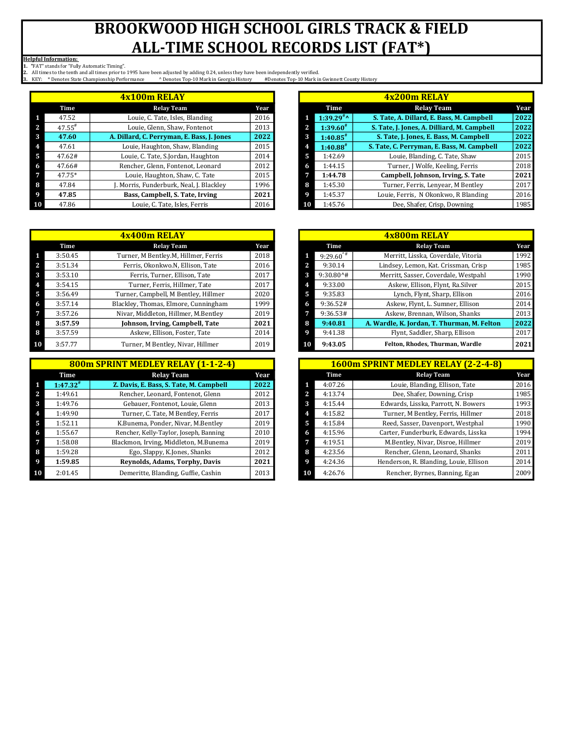Helpful Information:

1. "FAT" stands for "Fully Automatic Timing".

|    |                      | 4x100m RELAY                               |      |   |                        | 4x200m RELAY                                |      |
|----|----------------------|--------------------------------------------|------|---|------------------------|---------------------------------------------|------|
|    | Time                 | <b>Relay Team</b>                          | Year |   | Time                   | <b>Relay Team</b>                           | Year |
|    | 47.52                | Louie, C. Tate, Isles, Blanding            | 2016 |   | 1:39.29 <sup>#</sup>   | S. Tate, A. Dillard, E. Bass, M. Campbell   | 2022 |
|    | $47.55$ <sup>#</sup> | Louie, Glenn, Shaw, Fontenot               | 2013 | 2 | 1:39.60"               | S. Tate, J. Jones, A. Dilliard, M. Campbell | 2022 |
| 3  | 47.60                | A. Dillard, C. Perryman, E. Bass, J. Jones | 2022 | 3 | $1:40.85$ <sup>#</sup> | S. Tate, J. Jones, E. Bass, M. Campbell     | 2022 |
|    | 47.61                | Louie, Haughton, Shaw, Blanding            | 2015 |   | $1:40.88^{*}$          | S. Tate, C. Perryman, E. Bass, M. Campbell  | 2022 |
| D. | 47.62#               | Louie, C. Tate, S.Jordan, Haughton         | 2014 | 5 | 1:42.69                | Louie, Blanding, C. Tate, Shaw              | 2015 |
|    | 47.66#               | Rencher, Glenn, Fontenot, Leonard          | 2012 | 6 | 1:44.15                | Turner, J Wolfe, Keeling, Ferris            | 2018 |
|    | 47.75*               | Louie, Haughton, Shaw, C. Tate             | 2015 |   | 1:44.78                | Campbell, Johnson, Irving, S. Tate          | 2021 |
| o  | 47.84                | . Morris, Funderburk, Neal, J. Blackley    | 1996 | 8 | 1:45.30                | Turner, Ferris, Lenyear, M Bentley          | 2017 |
|    | 47.85                | Bass, Campbell, S. Tate, Irving            | 2021 |   | 1:45.37                | Louie, Ferris, N Okonkwo, R Blanding        | 2016 |
|    | 47.86                | Louie, C. Tate, Isles, Ferris              | 2016 |   | 1:45.76                | Dee, Shafer, Crisp, Downing                 | 1985 |

| 4x400m RELAY |         |                                      |      |   | <b>4x800m RELAY</b> |                                             |      |
|--------------|---------|--------------------------------------|------|---|---------------------|---------------------------------------------|------|
|              | Time    | <b>Relay Team</b>                    | Year |   | Time                | <b>Relay Team</b>                           | Year |
|              | 3:50.45 | Turner, M Bentley M, Hillmer, Ferris | 2018 |   | $9:29.60^{4}$       | Merritt, Lisska, Coverdale, Vitoria         | 1992 |
|              | 3:51.34 | Ferris, Okonkwo.N, Ellison, Tate     | 2016 |   | 9:30.14             | Lindsey, Lemon, Kat. Crissman, Crisp        | 1985 |
|              | 3:53.10 | Ferris, Turner, Ellison, Tate        | 2017 | 3 | $9:30.80^+$         | Merritt, Sasser, Coverdale, Westpahl        | 1990 |
|              | 3:54.15 | Turner, Ferris, Hillmer, Tate        | 2017 |   | 9:33.00             | Askew, Ellison, Flynt, Ra.Silver            | 2015 |
|              | 3:56.49 | Turner, Campbell, M Bentley, Hillmer | 2020 | 5 | 9:35.83             | Lynch, Flynt, Sharp, Ellison                | 2016 |
|              | 3:57.14 | Blackley, Thomas, Elmore, Cunningham | 1999 | 6 | 9:36.52#            | Askew, Flynt, L. Sumner, Ellison            | 2014 |
|              | 3:57.26 | Nivar, Middleton, Hillmer, M.Bentley | 2019 |   | 9:36.53#            | Askew, Brennan, Wilson, Shanks              | 2013 |
| 8            | 3:57.59 | Johnson, Irving, Campbell, Tate      | 2021 | 8 | 9:40.81             | A. Wardle, K. Jordan, T. Thurman, M. Felton | 2022 |
| 8            | 3:57.59 | Askew, Ellison, Foster, Tate         | 2014 |   | 9:41.38             | Flynt, Saddler, Sharp, Ellison              | 2017 |
| 10           | 3:57.77 | Turner, M Bentley, Nivar, Hillmer    | 2019 |   | 9:43.05             | Felton, Rhodes, Thurman, Wardle             | 2021 |

| 800m SPRINT MEDLEY RELAY (1-1-2-4) |                                         |      |   |         | 1600m SPRINT MEDLEY RELAY (2-2-4-8)    |      |
|------------------------------------|-----------------------------------------|------|---|---------|----------------------------------------|------|
| Time                               | <b>Relay Team</b>                       | Year |   | Time    | <b>Relay Team</b>                      | Year |
| $1:47.32^{*}$                      | Z. Davis, E. Bass, S. Tate, M. Campbell | 2022 |   | 4:07.26 | Louie, Blanding, Ellison, Tate         | 2016 |
| 1:49.61                            | Rencher, Leonard, Fontenot, Glenn       | 2012 |   | 4:13.74 | Dee, Shafer, Downing, Crisp            | 1985 |
| 1:49.76                            | Gebauer, Fontenot, Louie, Glenn         | 2013 |   | 4:15.44 | Edwards, Lisska, Parrott, N. Bowers    | 1993 |
| 1:49.90                            | Turner, C. Tate, M Bentley, Ferris      | 2017 |   | 4:15.82 | Turner, M Bentley, Ferris, Hillmer     | 2018 |
| 1:52.11                            | K.Bunema, Ponder, Nivar, M.Bentley      | 2019 |   | 4:15.84 | Reed, Sasser, Davenport, Westphal      | 1990 |
| 1:55.67                            | Rencher, Kelly-Taylor, Joseph, Banning  | 2010 | 6 | 4:15.96 | Carter, Funderburk, Edwards, Lisska    | 1994 |
| 1:58.08                            | Blackmon, Irving, Middleton, M.Bunema   | 2019 |   | 4:19.51 | M.Bentley, Nivar, Disroe, Hillmer      | 2019 |
| 1:59.28                            | Ego, Slappy, K.Jones, Shanks            | 2012 | 8 | 4:23.56 | Rencher, Glenn, Leonard, Shanks        | 2011 |
| 1:59.85                            | Reynolds, Adams, Torphy, Davis          | 2021 |   | 4:24.36 | Henderson, R. Blanding, Louie, Ellison | 2014 |
| 2:01.45                            | Demeritte, Blanding, Guffie, Cashin     | 2013 |   | 4:26.76 | Rencher, Byrnes, Banning, Egan         | 2009 |

|                  | 4x100m RELAY                               |      |
|------------------|--------------------------------------------|------|
| Time             | <b>Relay Team</b>                          | Year |
| 47.52            | Louie, C. Tate, Isles, Blanding            | 2016 |
| $17.55^{\rm \#}$ | Louie, Glenn, Shaw, Fontenot               | 2013 |
| 47.60            | A. Dillard, C. Perryman, E. Bass, J. Jones | 2022 |
| 47.61            | Louie, Haughton, Shaw, Blanding            | 2015 |
| $-7.62#$         | Louie, C. Tate, S.Jordan, Haughton         | 2014 |
| $-7.66#$         | Rencher, Glenn, Fontenot, Leonard          | 2012 |
| $17.75*$         | Louie, Haughton, Shaw, C. Tate             | 2015 |
| 47.84            | . Morris, Funderburk, Neal, J. Blackley    | 1996 |
| 17.85            | Bass, Campbell, S. Tate, Irving            | 2021 |
| 47.86            | Louie, C. Tate, Isles, Ferris              | 2016 |

|        | 4x400m RELAY                         |      |
|--------|--------------------------------------|------|
| Time   | <b>Relay Team</b>                    | Year |
| :50.45 | Turner, M Bentley.M, Hillmer, Ferris | 2018 |
| :51.34 | Ferris, Okonkwo.N, Ellison, Tate     | 2016 |
| :53.10 | Ferris. Turner. Ellison. Tate        | 2017 |
| :54.15 | Turner, Ferris, Hillmer, Tate        | 2017 |
| :56.49 | Turner, Campbell, M Bentley, Hillmer | 2020 |
| :57.14 | Blackley, Thomas, Elmore, Cunningham | 1999 |
| :57.26 | Nivar, Middleton, Hillmer, M.Bentley | 2019 |
| :57.59 | Johnson, Irving, Campbell, Tate      | 2021 |
| :57.59 | Askew, Ellison, Foster, Tate         | 2014 |
| :57.77 | Turner, M Bentley, Nivar, Hillmer    | 2019 |

| 800m SPRINT MEDLEY RELAY (1-1-2-4) |                                         |      |    |         | 1600m SPRINT MEDLEY RELAY (2-2-4-8)    |      |
|------------------------------------|-----------------------------------------|------|----|---------|----------------------------------------|------|
| Time                               | <b>Relay Team</b>                       | Year |    | Time    | <b>Relay Team</b>                      | Year |
| $47.32^*$                          | Z. Davis, E. Bass, S. Tate, M. Campbell | 2022 |    | 4:07.26 | Louie, Blanding, Ellison, Tate         | 2016 |
| :49.61                             | Rencher, Leonard, Fontenot, Glenn       | 2012 |    | 4:13.74 | Dee, Shafer, Downing, Crisp            | 1985 |
| :49.76                             | Gebauer, Fontenot, Louie, Glenn         | 2013 |    | 4:15.44 | Edwards, Lisska, Parrott, N. Bowers    | 1993 |
| :49.90                             | Turner, C. Tate, M Bentley, Ferris      | 2017 |    | 4:15.82 | Turner, M Bentley, Ferris, Hillmer     | 2018 |
| :52.11                             | K.Bunema, Ponder, Nivar, M.Bentley      | 2019 | 5  | 4:15.84 | Reed, Sasser, Davenport, Westphal      | 1990 |
| :55.67                             | Rencher, Kelly-Taylor, Joseph, Banning  | 2010 | n  | 4:15.96 | Carter, Funderburk, Edwards, Lisska    | 1994 |
| :58.08                             | Blackmon, Irving, Middleton, M.Bunema   | 2019 |    | 4:19.51 | M.Bentley, Nivar, Disroe, Hillmer      | 2019 |
| :59.28                             | Ego, Slappy, K.Jones, Shanks            | 2012 | 8  | 4:23.56 | Rencher, Glenn, Leonard, Shanks        | 2011 |
| :59.85                             | Reynolds, Adams, Torphy, Davis          | 2021 |    | 4:24.36 | Henderson, R. Blanding, Louie, Ellison | 2014 |
| :01.45                             | Demeritte, Blanding, Guffie, Cashin     | 2013 | 10 | 4:26.76 | Rencher, Byrnes, Banning, Egan         | 2009 |